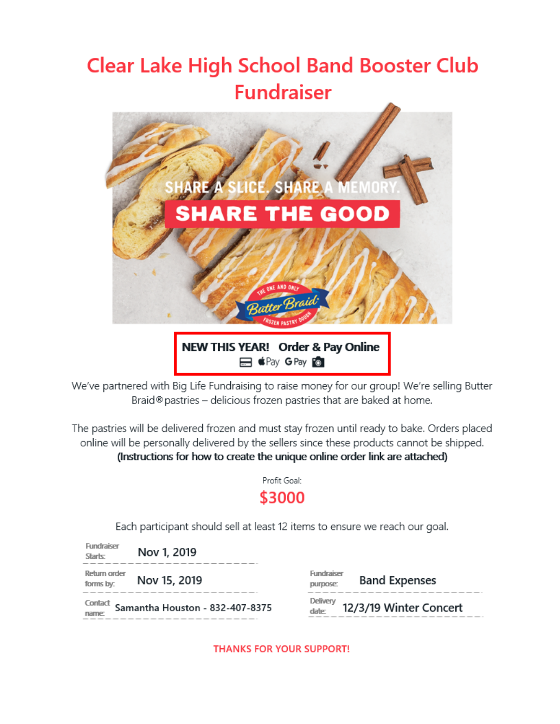# **Clear Lake High School Band Booster Club Fundraiser**



**E CPay GPay For** 

We've partnered with Big Life Fundraising to raise money for our group! We're selling Butter Braid®pastries - delicious frozen pastries that are baked at home.

The pastries will be delivered frozen and must stay frozen until ready to bake. Orders placed online will be personally delivered by the sellers since these products cannot be shipped. (Instructions for how to create the unique online order link are attached)

> Profit Goal: \$3000

Each participant should sell at least 12 items to ensure we reach our goal.

| Fundraiser<br><b>Starts:</b> | Nov 1, 2019                                                          |                               |                        |
|------------------------------|----------------------------------------------------------------------|-------------------------------|------------------------|
| Return order<br>forms by:    | Nov 15, 2019                                                         | Fundraiser<br>purpose:        | <b>Band Expenses</b>   |
|                              | $\frac{\text{Confact}}{\text{name}}$ Samantha Houston - 832-407-8375 | Delivery<br>date <sub>c</sub> | 12/3/19 Winter Concert |

**THANKS FOR YOUR SUPPORT!**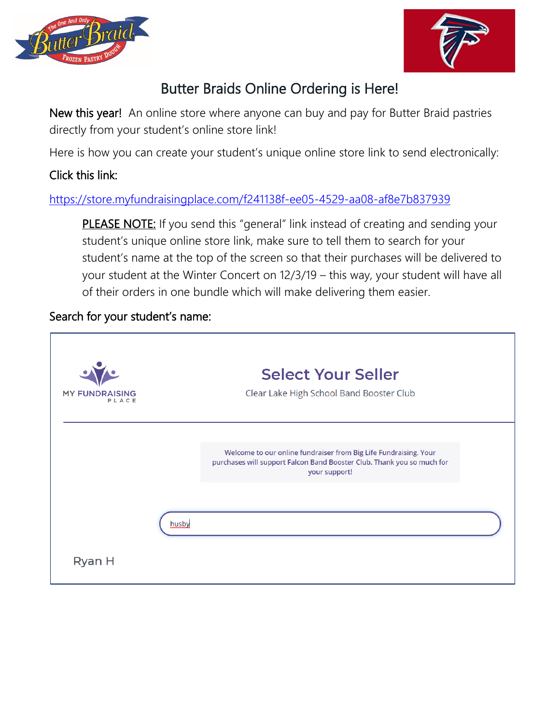



## Butter Braids Online Ordering is Here!

New this year! An online store where anyone can buy and pay for Butter Braid pastries directly from your student's online store link!

Here is how you can create your student's unique online store link to send electronically:

### Click this link:

#### <https://store.myfundraisingplace.com/f241138f-ee05-4529-aa08-af8e7b837939>

PLEASE NOTE: If you send this "general" link instead of creating and sending your student's unique online store link, make sure to tell them to search for your student's name at the top of the screen so that their purchases will be delivered to your student at the Winter Concert on 12/3/19 – this way, your student will have all of their orders in one bundle which will make delivering them easier.

#### Search for your student's name: